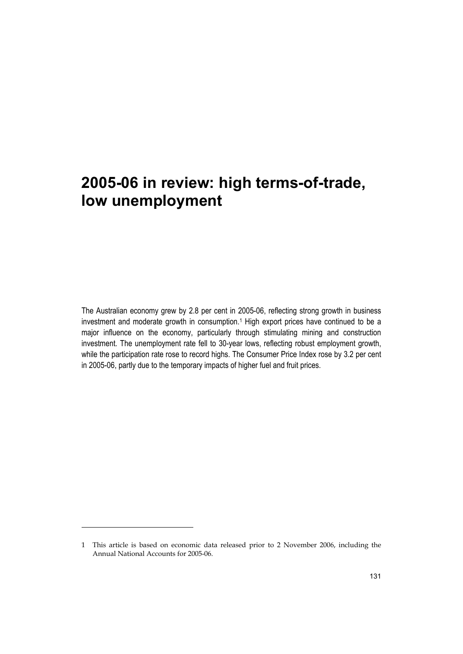The Australian economy grew by 2.8 per cent in 2005-06, reflecting strong growth in business investment and moderate growth in consumption.<sup>1</sup> High export prices have continued to be a major influence on the economy, particularly through stimulating mining and construction investment. The unemployment rate fell to 30-year lows, reflecting robust employment growth, while the participation rate rose to record highs. The Consumer Price Index rose by 3.2 per cent in 2005-06, partly due to the temporary impacts of higher fuel and fruit prices.

-

<sup>1</sup> This article is based on economic data released prior to 2 November 2006, including the Annual National Accounts for 2005-06.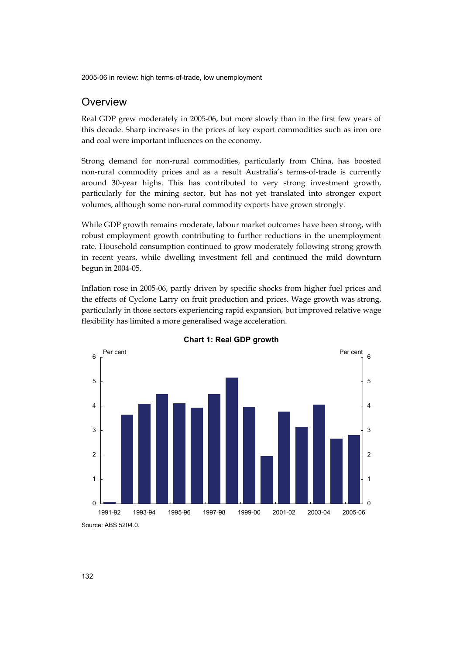# **Overview**

Real GDP grew moderately in 2005-06, but more slowly than in the first few years of this decade. Sharp increases in the prices of key export commodities such as iron ore and coal were important influences on the economy.

Strong demand for non-rural commodities, particularly from China, has boosted non-rural commodity prices and as a result Australia's terms-of-trade is currently around 30-year highs. This has contributed to very strong investment growth, particularly for the mining sector, but has not yet translated into stronger export volumes, although some non-rural commodity exports have grown strongly.

While GDP growth remains moderate, labour market outcomes have been strong, with robust employment growth contributing to further reductions in the unemployment rate. Household consumption continued to grow moderately following strong growth in recent years, while dwelling investment fell and continued the mild downturn begun in 2004-05.

Inflation rose in 2005-06, partly driven by specific shocks from higher fuel prices and the effects of Cyclone Larry on fruit production and prices. Wage growth was strong, particularly in those sectors experiencing rapid expansion, but improved relative wage flexibility has limited a more generalised wage acceleration.





Source: ABS 5204.0.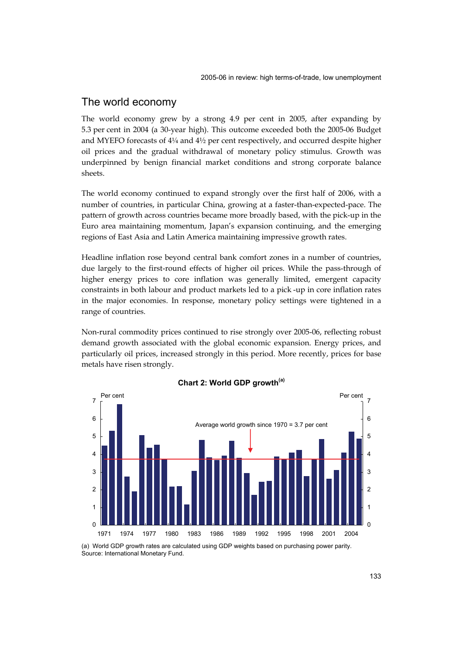# The world economy

The world economy grew by a strong 4.9 per cent in 2005, after expanding by 5.3 per cent in 2004 (a 30-year high). This outcome exceeded both the 2005-06 Budget and MYEFO forecasts of 4¼ and 4½ per cent respectively, and occurred despite higher oil prices and the gradual withdrawal of monetary policy stimulus. Growth was underpinned by benign financial market conditions and strong corporate balance sheets.

The world economy continued to expand strongly over the first half of 2006, with a number of countries, in particular China, growing at a faster-than-expected-pace. The pattern of growth across countries became more broadly based, with the pick-up in the Euro area maintaining momentum, Japan's expansion continuing, and the emerging regions of East Asia and Latin America maintaining impressive growth rates.

Headline inflation rose beyond central bank comfort zones in a number of countries, due largely to the first-round effects of higher oil prices. While the pass-through of higher energy prices to core inflation was generally limited, emergent capacity constraints in both labour and product markets led to a pick -up in core inflation rates in the major economies. In response, monetary policy settings were tightened in a range of countries.

Non-rural commodity prices continued to rise strongly over 2005-06, reflecting robust demand growth associated with the global economic expansion. Energy prices, and particularly oil prices, increased strongly in this period. More recently, prices for base metals have risen strongly.



## **Chart 2: World GDP growth(a)**

(a) World GDP growth rates are calculated using GDP weights based on purchasing power parity. Source: International Monetary Fund.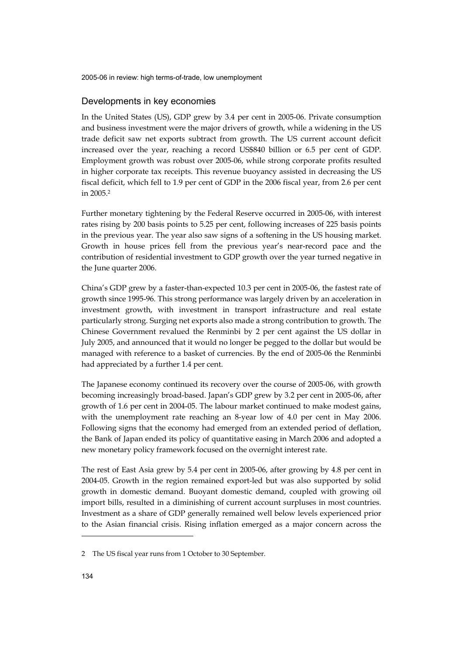#### Developments in key economies

In the United States (US), GDP grew by 3.4 per cent in 2005-06. Private consumption and business investment were the major drivers of growth, while a widening in the US trade deficit saw net exports subtract from growth. The US current account deficit increased over the year, reaching a record US\$840 billion or 6.5 per cent of GDP. Employment growth was robust over 2005-06, while strong corporate profits resulted in higher corporate tax receipts. This revenue buoyancy assisted in decreasing the US fiscal deficit, which fell to 1.9 per cent of GDP in the 2006 fiscal year, from 2.6 per cent in 2005.2

Further monetary tightening by the Federal Reserve occurred in 2005-06, with interest rates rising by 200 basis points to 5.25 per cent, following increases of 225 basis points in the previous year. The year also saw signs of a softening in the US housing market. Growth in house prices fell from the previous year's near-record pace and the contribution of residential investment to GDP growth over the year turned negative in the June quarter 2006.

China's GDP grew by a faster-than-expected 10.3 per cent in 2005-06, the fastest rate of growth since 1995-96. This strong performance was largely driven by an acceleration in investment growth, with investment in transport infrastructure and real estate particularly strong. Surging net exports also made a strong contribution to growth. The Chinese Government revalued the Renminbi by 2 per cent against the US dollar in July 2005, and announced that it would no longer be pegged to the dollar but would be managed with reference to a basket of currencies. By the end of 2005-06 the Renminbi had appreciated by a further 1.4 per cent.

The Japanese economy continued its recovery over the course of 2005-06, with growth becoming increasingly broad-based. Japan's GDP grew by 3.2 per cent in 2005-06, after growth of 1.6 per cent in 2004-05. The labour market continued to make modest gains, with the unemployment rate reaching an 8-year low of 4.0 per cent in May 2006. Following signs that the economy had emerged from an extended period of deflation, the Bank of Japan ended its policy of quantitative easing in March 2006 and adopted a new monetary policy framework focused on the overnight interest rate.

The rest of East Asia grew by 5.4 per cent in 2005-06, after growing by 4.8 per cent in 2004-05. Growth in the region remained export-led but was also supported by solid growth in domestic demand. Buoyant domestic demand, coupled with growing oil import bills, resulted in a diminishing of current account surpluses in most countries. Investment as a share of GDP generally remained well below levels experienced prior to the Asian financial crisis. Rising inflation emerged as a major concern across the

j

<sup>2</sup> The US fiscal year runs from 1 October to 30 September.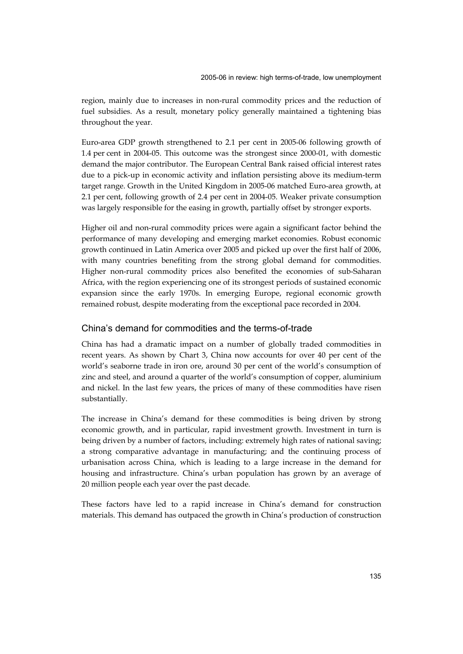region, mainly due to increases in non-rural commodity prices and the reduction of fuel subsidies. As a result, monetary policy generally maintained a tightening bias throughout the year.

Euro-area GDP growth strengthened to 2.1 per cent in 2005-06 following growth of 1.4 per cent in 2004-05. This outcome was the strongest since 2000-01, with domestic demand the major contributor. The European Central Bank raised official interest rates due to a pick-up in economic activity and inflation persisting above its medium-term target range. Growth in the United Kingdom in 2005-06 matched Euro-area growth, at 2.1 per cent, following growth of 2.4 per cent in 2004-05. Weaker private consumption was largely responsible for the easing in growth, partially offset by stronger exports.

Higher oil and non-rural commodity prices were again a significant factor behind the performance of many developing and emerging market economies. Robust economic growth continued in Latin America over 2005 and picked up over the first half of 2006, with many countries benefiting from the strong global demand for commodities. Higher non-rural commodity prices also benefited the economies of sub-Saharan Africa, with the region experiencing one of its strongest periods of sustained economic expansion since the early 1970s. In emerging Europe, regional economic growth remained robust, despite moderating from the exceptional pace recorded in 2004.

## China's demand for commodities and the terms-of-trade

China has had a dramatic impact on a number of globally traded commodities in recent years. As shown by Chart 3, China now accounts for over 40 per cent of the world's seaborne trade in iron ore, around 30 per cent of the world's consumption of zinc and steel, and around a quarter of the world's consumption of copper, aluminium and nickel. In the last few years, the prices of many of these commodities have risen substantially.

The increase in China's demand for these commodities is being driven by strong economic growth, and in particular, rapid investment growth. Investment in turn is being driven by a number of factors, including: extremely high rates of national saving; a strong comparative advantage in manufacturing; and the continuing process of urbanisation across China, which is leading to a large increase in the demand for housing and infrastructure. China's urban population has grown by an average of 20 million people each year over the past decade.

These factors have led to a rapid increase in China's demand for construction materials. This demand has outpaced the growth in China's production of construction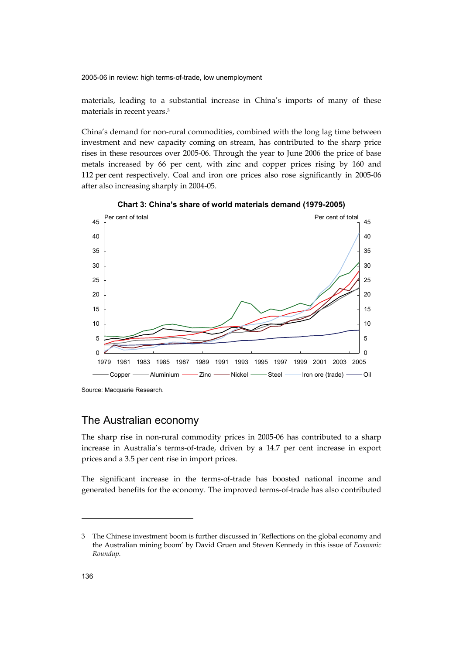materials, leading to a substantial increase in China's imports of many of these materials in recent years.3

China's demand for non-rural commodities, combined with the long lag time between investment and new capacity coming on stream, has contributed to the sharp price rises in these resources over 2005-06. Through the year to June 2006 the price of base metals increased by 66 per cent, with zinc and copper prices rising by 160 and 112 per cent respectively. Coal and iron ore prices also rose significantly in 2005-06 after also increasing sharply in 2004-05.



**Chart 3: China's share of world materials demand (1979-2005)** 

Source: Macquarie Research.

# The Australian economy

The sharp rise in non-rural commodity prices in 2005-06 has contributed to a sharp increase in Australia's terms-of-trade, driven by a 14.7 per cent increase in export prices and a 3.5 per cent rise in import prices.

The significant increase in the terms-of-trade has boosted national income and generated benefits for the economy. The improved terms-of-trade has also contributed

-

<sup>3</sup> The Chinese investment boom is further discussed in 'Reflections on the global economy and the Australian mining boom' by David Gruen and Steven Kennedy in this issue of *Economic Roundup*.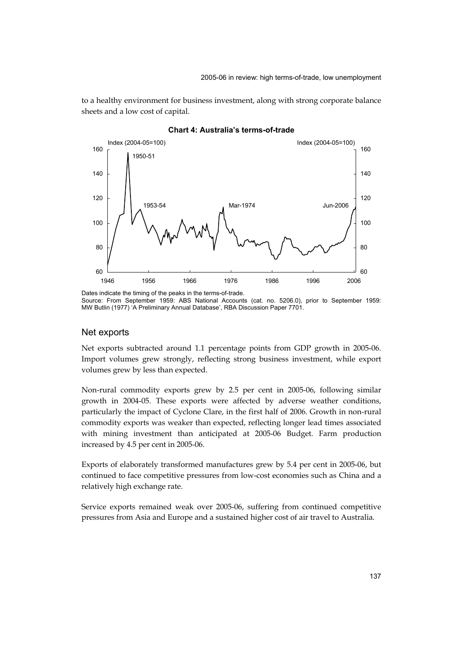to a healthy environment for business investment, along with strong corporate balance sheets and a low cost of capital.



#### **Chart 4: Australia's terms-of-trade**

#### Net exports

Net exports subtracted around 1.1 percentage points from GDP growth in 2005-06. Import volumes grew strongly, reflecting strong business investment, while export volumes grew by less than expected.

Non-rural commodity exports grew by 2.5 per cent in 2005-06, following similar growth in 2004-05. These exports were affected by adverse weather conditions, particularly the impact of Cyclone Clare, in the first half of 2006. Growth in non-rural commodity exports was weaker than expected, reflecting longer lead times associated with mining investment than anticipated at 2005-06 Budget. Farm production increased by 4.5 per cent in 2005-06.

Exports of elaborately transformed manufactures grew by 5.4 per cent in 2005-06, but continued to face competitive pressures from low-cost economies such as China and a relatively high exchange rate.

Service exports remained weak over 2005-06, suffering from continued competitive pressures from Asia and Europe and a sustained higher cost of air travel to Australia.

Source: From September 1959: ABS National Accounts (cat. no. 5206.0), prior to September 1959: MW Butlin (1977) 'A Preliminary Annual Database', RBA Discussion Paper 7701.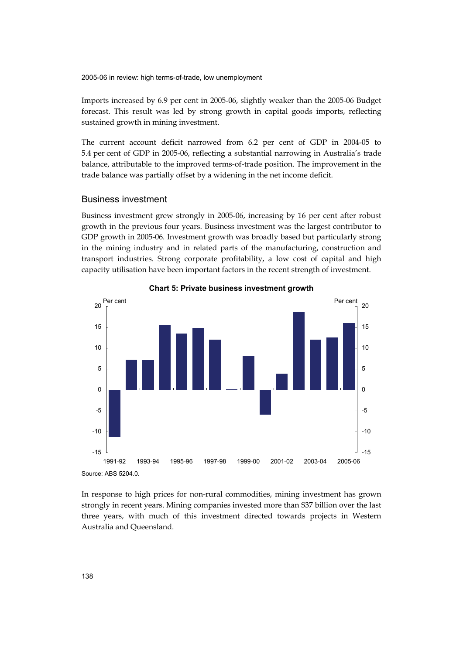Imports increased by 6.9 per cent in 2005-06, slightly weaker than the 2005-06 Budget forecast. This result was led by strong growth in capital goods imports, reflecting sustained growth in mining investment.

The current account deficit narrowed from 6.2 per cent of GDP in 2004-05 to 5.4 per cent of GDP in 2005-06, reflecting a substantial narrowing in Australia's trade balance, attributable to the improved terms-of-trade position. The improvement in the trade balance was partially offset by a widening in the net income deficit.

## Business investment

Business investment grew strongly in 2005-06, increasing by 16 per cent after robust growth in the previous four years. Business investment was the largest contributor to GDP growth in 2005-06. Investment growth was broadly based but particularly strong in the mining industry and in related parts of the manufacturing, construction and transport industries. Strong corporate profitability, a low cost of capital and high capacity utilisation have been important factors in the recent strength of investment.



**Chart 5: Private business investment growth** 

In response to high prices for non-rural commodities, mining investment has grown strongly in recent years. Mining companies invested more than \$37 billion over the last three years, with much of this investment directed towards projects in Western Australia and Queensland.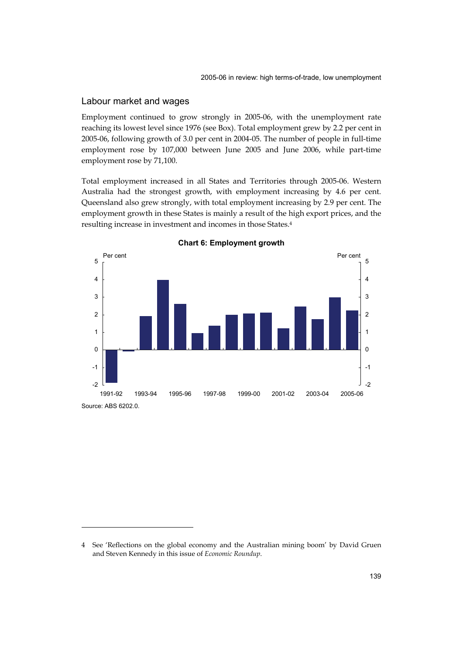## Labour market and wages

-

Employment continued to grow strongly in 2005-06, with the unemployment rate reaching its lowest level since 1976 (see Box). Total employment grew by 2.2 per cent in 2005-06, following growth of 3.0 per cent in 2004-05. The number of people in full-time employment rose by 107,000 between June 2005 and June 2006, while part-time employment rose by 71,100.

Total employment increased in all States and Territories through 2005-06. Western Australia had the strongest growth, with employment increasing by 4.6 per cent. Queensland also grew strongly, with total employment increasing by 2.9 per cent. The employment growth in these States is mainly a result of the high export prices, and the resulting increase in investment and incomes in those States.4





<sup>4</sup> See 'Reflections on the global economy and the Australian mining boom' by David Gruen and Steven Kennedy in this issue of *Economic Roundup*.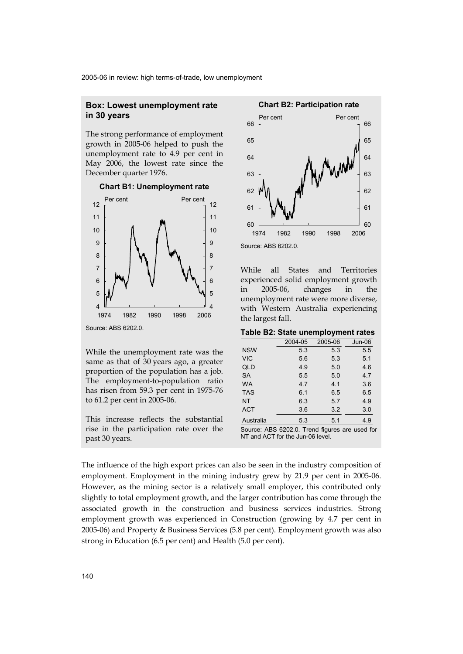## **Box: Lowest unemployment rate in 30 years**

The strong performance of employment growth in 2005-06 helped to push the unemployment rate to 4.9 per cent in May 2006, the lowest rate since the December quarter 1976.



**Chart B1: Unemployment rate** 

While the unemployment rate was the same as that of 30 years ago, a greater proportion of the population has a job. The employment-to-population ratio has risen from 59.3 per cent in 1975-76 to 61.2 per cent in 2005-06.

This increase reflects the substantial rise in the participation rate over the past 30 years.



While all States and Territories experienced solid employment growth in 2005-06, changes in the unemployment rate were more diverse, with Western Australia experiencing the largest fall.

| Table B2: State unemployment rates |  |  |  |  |
|------------------------------------|--|--|--|--|
|------------------------------------|--|--|--|--|

|                                                | 2004-05 | 2005-06 | $Jun-06$ |
|------------------------------------------------|---------|---------|----------|
| <b>NSW</b>                                     | 5.3     | 5.3     | 5.5      |
| <b>VIC</b>                                     | 5.6     | 5.3     | 5.1      |
| QLD                                            | 4.9     | 5.0     | 4.6      |
| <b>SA</b>                                      | 5.5     | 5.0     | 4.7      |
| <b>WA</b>                                      | 4.7     | 4.1     | 3.6      |
| <b>TAS</b>                                     | 6.1     | 6.5     | 6.5      |
| NT                                             | 6.3     | 5.7     | 4.9      |
| <b>ACT</b>                                     | 3.6     | 3.2     | 3.0      |
| Australia                                      | 5.3     | 5.1     | 4.9      |
| Source: ABS 6202.0. Trend figures are used for |         |         |          |

NT and ACT for the Jun-06 level.

The influence of the high export prices can also be seen in the industry composition of employment. Employment in the mining industry grew by 21.9 per cent in 2005-06. However, as the mining sector is a relatively small employer, this contributed only slightly to total employment growth, and the larger contribution has come through the associated growth in the construction and business services industries. Strong employment growth was experienced in Construction (growing by 4.7 per cent in 2005-06) and Property & Business Services (5.8 per cent). Employment growth was also strong in Education (6.5 per cent) and Health (5.0 per cent).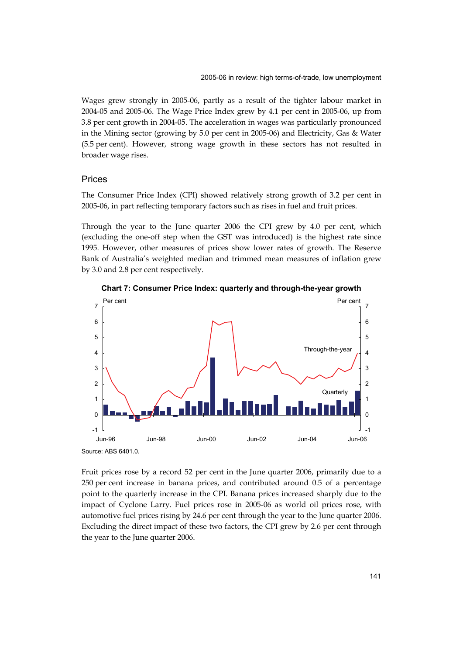Wages grew strongly in 2005-06, partly as a result of the tighter labour market in 2004-05 and 2005-06. The Wage Price Index grew by 4.1 per cent in 2005-06, up from 3.8 per cent growth in 2004-05. The acceleration in wages was particularly pronounced in the Mining sector (growing by 5.0 per cent in 2005-06) and Electricity, Gas & Water (5.5 per cent). However, strong wage growth in these sectors has not resulted in broader wage rises.

#### Prices

The Consumer Price Index (CPI) showed relatively strong growth of 3.2 per cent in 2005-06, in part reflecting temporary factors such as rises in fuel and fruit prices.

Through the year to the June quarter 2006 the CPI grew by 4.0 per cent, which (excluding the one-off step when the GST was introduced) is the highest rate since 1995. However, other measures of prices show lower rates of growth. The Reserve Bank of Australia's weighted median and trimmed mean measures of inflation grew by 3.0 and 2.8 per cent respectively.



**Chart 7: Consumer Price Index: quarterly and through-the-year growth** 

Fruit prices rose by a record 52 per cent in the June quarter 2006, primarily due to a 250 per cent increase in banana prices, and contributed around 0.5 of a percentage point to the quarterly increase in the CPI. Banana prices increased sharply due to the impact of Cyclone Larry. Fuel prices rose in 2005-06 as world oil prices rose, with automotive fuel prices rising by 24.6 per cent through the year to the June quarter 2006. Excluding the direct impact of these two factors, the CPI grew by 2.6 per cent through the year to the June quarter 2006.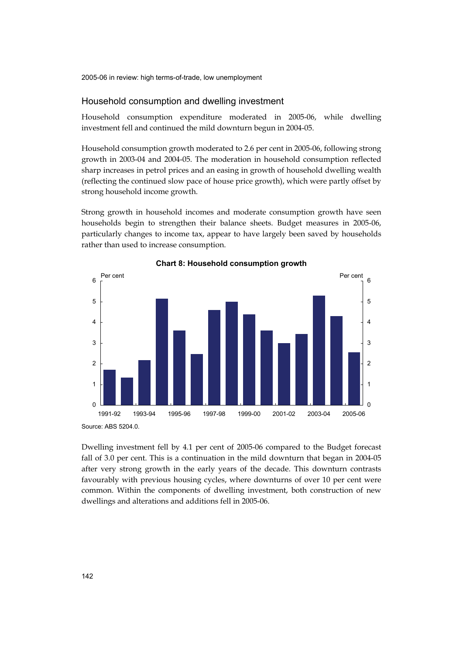#### Household consumption and dwelling investment

Household consumption expenditure moderated in 2005-06, while dwelling investment fell and continued the mild downturn begun in 2004-05.

Household consumption growth moderated to 2.6 per cent in 2005-06, following strong growth in 2003-04 and 2004-05. The moderation in household consumption reflected sharp increases in petrol prices and an easing in growth of household dwelling wealth (reflecting the continued slow pace of house price growth), which were partly offset by strong household income growth.

Strong growth in household incomes and moderate consumption growth have seen households begin to strengthen their balance sheets. Budget measures in 2005-06, particularly changes to income tax, appear to have largely been saved by households rather than used to increase consumption.



**Chart 8: Household consumption growth** 

Dwelling investment fell by 4.1 per cent of 2005-06 compared to the Budget forecast fall of 3.0 per cent. This is a continuation in the mild downturn that began in 2004-05 after very strong growth in the early years of the decade. This downturn contrasts favourably with previous housing cycles, where downturns of over 10 per cent were common. Within the components of dwelling investment, both construction of new dwellings and alterations and additions fell in 2005-06.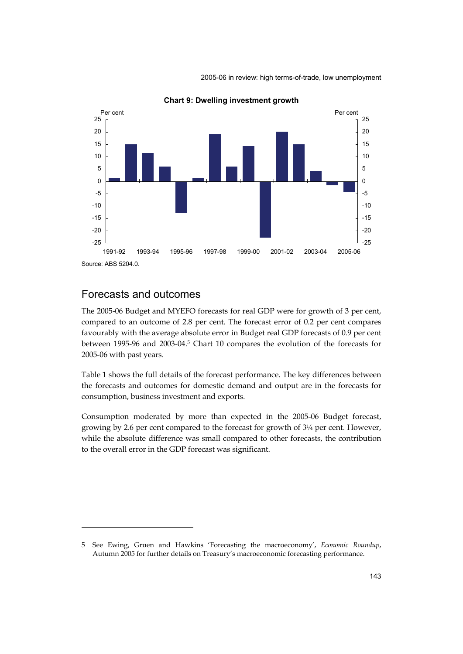

**Chart 9: Dwelling investment growth** 

# Forecasts and outcomes

-

The 2005-06 Budget and MYEFO forecasts for real GDP were for growth of 3 per cent, compared to an outcome of 2.8 per cent. The forecast error of 0.2 per cent compares favourably with the average absolute error in Budget real GDP forecasts of 0.9 per cent between 1995-96 and 2003-04.5 Chart 10 compares the evolution of the forecasts for 2005-06 with past years.

Table 1 shows the full details of the forecast performance. The key differences between the forecasts and outcomes for domestic demand and output are in the forecasts for consumption, business investment and exports.

Consumption moderated by more than expected in the 2005-06 Budget forecast, growing by 2.6 per cent compared to the forecast for growth of 3¼ per cent. However, while the absolute difference was small compared to other forecasts, the contribution to the overall error in the GDP forecast was significant.

<sup>5</sup> See Ewing, Gruen and Hawkins 'Forecasting the macroeconomy', *Economic Roundup*, Autumn 2005 for further details on Treasury's macroeconomic forecasting performance.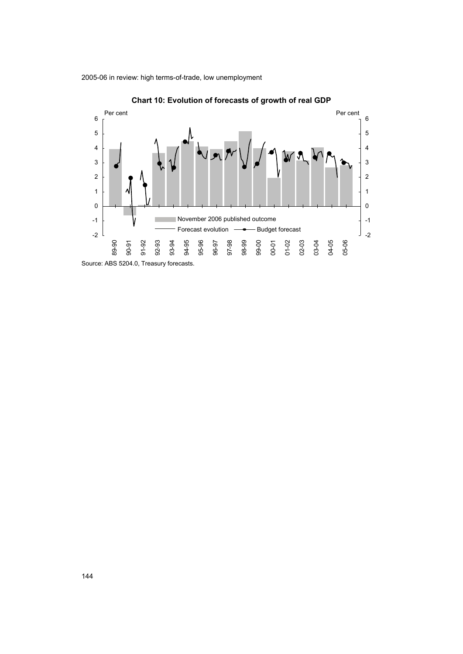

**Chart 10: Evolution of forecasts of growth of real GDP**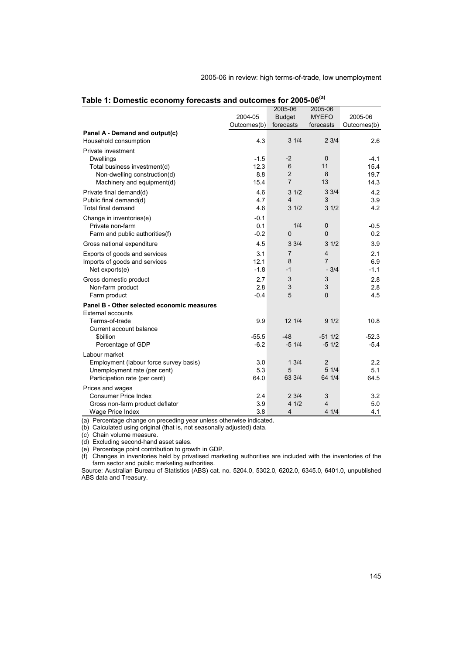|  |  | 2005-06 in review: high terms-of-trade, low unemployment |
|--|--|----------------------------------------------------------|
|  |  |                                                          |

|                                            |             | 2005-06        | 2005-06        |             |
|--------------------------------------------|-------------|----------------|----------------|-------------|
|                                            | 2004-05     | <b>Budget</b>  | <b>MYEFO</b>   | 2005-06     |
|                                            | Outcomes(b) | forecasts      | forecasts      | Outcomes(b) |
| Panel A - Demand and output(c)             |             |                |                |             |
| Household consumption                      | 4.3         | 31/4           | 23/4           | 2.6         |
| Private investment                         |             |                |                |             |
| <b>Dwellings</b>                           | $-1.5$      | $-2$           | $\mathbf 0$    | $-4.1$      |
| Total business investment(d)               | 12.3        | 6              | 11             | 15.4        |
| Non-dwelling construction(d)               | 8.8         | $\overline{2}$ | 8              | 19.7        |
| Machinery and equipment(d)                 | 15.4        | $\overline{7}$ | 13             | 14.3        |
| Private final demand(d)                    | 4.6         | 31/2           | 33/4           | 4.2         |
| Public final demand(d)                     | 4.7         | 4              | 3              | 3.9         |
| <b>Total final demand</b>                  | 4.6         | 31/2           | 31/2           | 4.2         |
| Change in inventories(e)                   | $-0.1$      |                |                |             |
| Private non-farm                           | 0.1         | 1/4            | $\mathbf 0$    | $-0.5$      |
| Farm and public authorities(f)             | $-0.2$      | 0              | $\mathbf 0$    | 0.2         |
| Gross national expenditure                 | 4.5         | 33/4           | 31/2           | 3.9         |
| Exports of goods and services              | 3.1         | $\overline{7}$ | $\overline{4}$ | 2.1         |
| Imports of goods and services              | 12.1        | 8              | $\overline{7}$ | 6.9         |
| Net exports(e)                             | $-1.8$      | $-1$           | $-3/4$         | $-1.1$      |
| Gross domestic product                     | 2.7         | 3              | 3              | 2.8         |
| Non-farm product                           | 2.8         | 3              | 3              | 2.8         |
| Farm product                               | $-0.4$      | 5              | $\overline{0}$ | 4.5         |
| Panel B - Other selected economic measures |             |                |                |             |
| <b>External accounts</b>                   |             |                |                |             |
| Terms-of-trade                             | 9.9         | 12 1/4         | 91/2           | 10.8        |
| Current account balance                    |             |                |                |             |
| \$billion                                  | $-55.5$     | $-48$          | $-511/2$       | $-52.3$     |
| Percentage of GDP                          | $-6.2$      | $-51/4$        | $-51/2$        | $-5.4$      |
| Labour market                              |             |                |                |             |
| Employment (labour force survey basis)     | 3.0         | 13/4           | $\overline{2}$ | 2.2         |
| Unemployment rate (per cent)               | 5.3         | 5              | 51/4           | 5.1         |
| Participation rate (per cent)              | 64.0        | 63 3/4         | 64 1/4         | 64.5        |
| Prices and wages                           |             |                |                |             |
| <b>Consumer Price Index</b>                | 2.4         | 23/4           | 3              | 3.2         |
| Gross non-farm product deflator            | 3.9         | 41/2           | $\overline{4}$ | 5.0         |
| Wage Price Index                           | 3.8         | 4              | 41/4           | 4.1         |

|  | Table 1: Domestic economy forecasts and outcomes for 2005-06 <sup>(a)</sup> |  |  |  |
|--|-----------------------------------------------------------------------------|--|--|--|
|--|-----------------------------------------------------------------------------|--|--|--|

(a) Percentage change on preceding year unless otherwise indicated.

(b) Calculated using original (that is, not seasonally adjusted) data.

(c) Chain volume measure.

(d) Excluding second-hand asset sales.

(e) Percentage point contribution to growth in GDP.

(f) Changes in inventories held by privatised marketing authorities are included with the inventories of the farm sector and public marketing authorities.

Source: Australian Bureau of Statistics (ABS) cat. no. 5204.0, 5302.0, 6202.0, 6345.0, 6401.0, unpublished ABS data and Treasury.